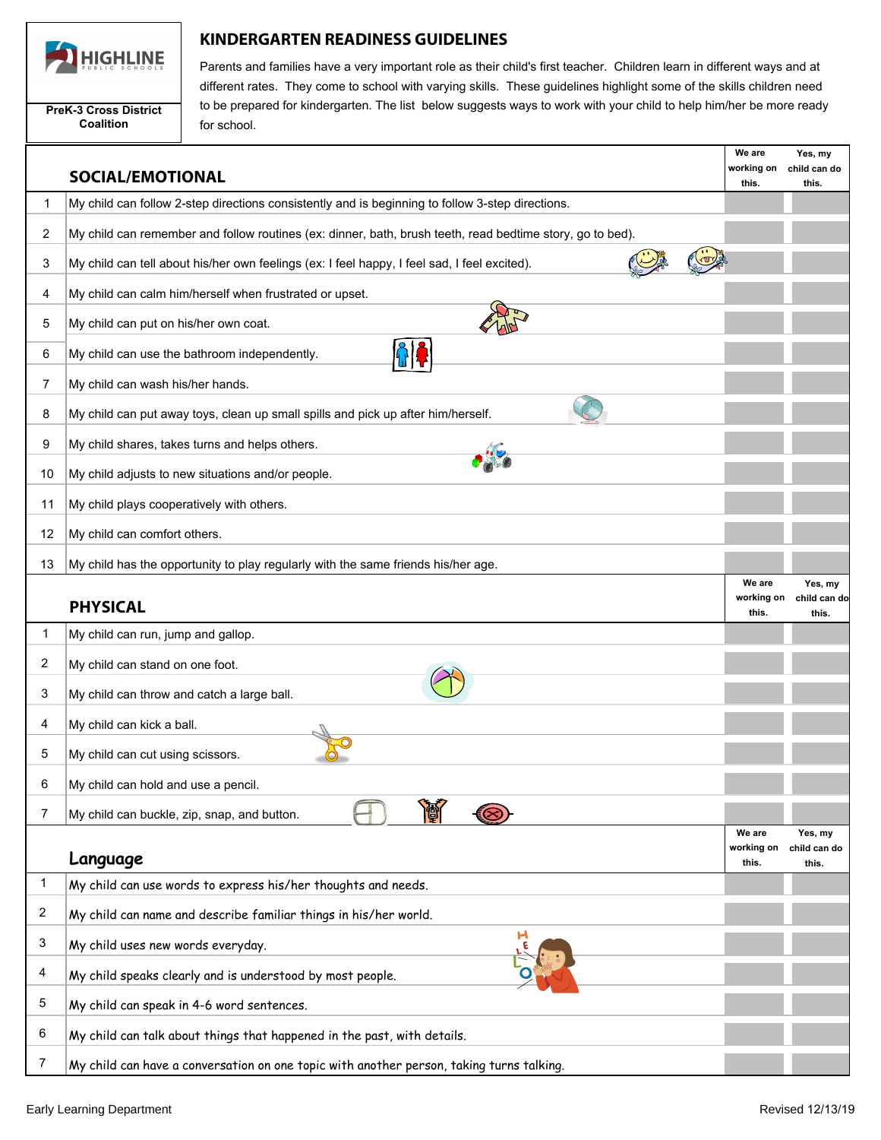

**PreK-3 Cross District Coalition**

## **KINDERGARTEN READINESS GUIDELINES**

Parents and families have a very important role as their child's first teacher. Children learn in different ways and at different rates. They come to school with varying skills. These guidelines highlight some of the skills children need to be prepared for kindergarten. The list below suggests ways to work with your child to help him/her be more ready for school.

|    | <b>SOCIAL/EMOTIONAL</b>                                                                                   | We are<br>working on<br>this. | Yes, my<br>child can do<br>this. |
|----|-----------------------------------------------------------------------------------------------------------|-------------------------------|----------------------------------|
| 1  | My child can follow 2-step directions consistently and is beginning to follow 3-step directions.          |                               |                                  |
| 2  | My child can remember and follow routines (ex: dinner, bath, brush teeth, read bedtime story, go to bed). |                               |                                  |
| 3  | My child can tell about his/her own feelings (ex: I feel happy, I feel sad, I feel excited).              |                               |                                  |
| 4  | My child can calm him/herself when frustrated or upset.                                                   |                               |                                  |
| 5  | My child can put on his/her own coat.                                                                     |                               |                                  |
| 6  | My child can use the bathroom independently.                                                              |                               |                                  |
| 7  | My child can wash his/her hands.                                                                          |                               |                                  |
| 8  | My child can put away toys, clean up small spills and pick up after him/herself.                          |                               |                                  |
| 9  | My child shares, takes turns and helps others.                                                            |                               |                                  |
| 10 | My child adjusts to new situations and/or people.                                                         |                               |                                  |
| 11 | My child plays cooperatively with others.                                                                 |                               |                                  |
| 12 | My child can comfort others.                                                                              |                               |                                  |
| 13 | My child has the opportunity to play regularly with the same friends his/her age.                         |                               |                                  |
|    | <b>PHYSICAL</b>                                                                                           | We are<br>working on<br>this. | Yes, my<br>child can do<br>this. |
| 1  | My child can run, jump and gallop.                                                                        |                               |                                  |
| 2  | My child can stand on one foot.                                                                           |                               |                                  |
| 3  | My child can throw and catch a large ball.                                                                |                               |                                  |
| 4  | My child can kick a ball.                                                                                 |                               |                                  |
| 5  | My child can cut using scissors.                                                                          |                               |                                  |
| 6  | My child can hold and use a pencil.                                                                       |                               |                                  |
| 7  | My child can buckle, zip, snap, and button.                                                               |                               |                                  |
|    |                                                                                                           | We are<br>working on          | Yes, my<br>child can do          |
| 1  | Language                                                                                                  | this.                         | this.                            |
|    | My child can use words to express his/her thoughts and needs.                                             |                               |                                  |
| 2  | My child can name and describe familiar things in his/her world.                                          |                               |                                  |
| 3  | My child uses new words everyday.                                                                         |                               |                                  |
| 4  | My child speaks clearly and is understood by most people.                                                 |                               |                                  |
| 5  | My child can speak in 4-6 word sentences.                                                                 |                               |                                  |
| 6  | My child can talk about things that happened in the past, with details.                                   |                               |                                  |
| 7  | My child can have a conversation on one topic with another person, taking turns talking.                  |                               |                                  |